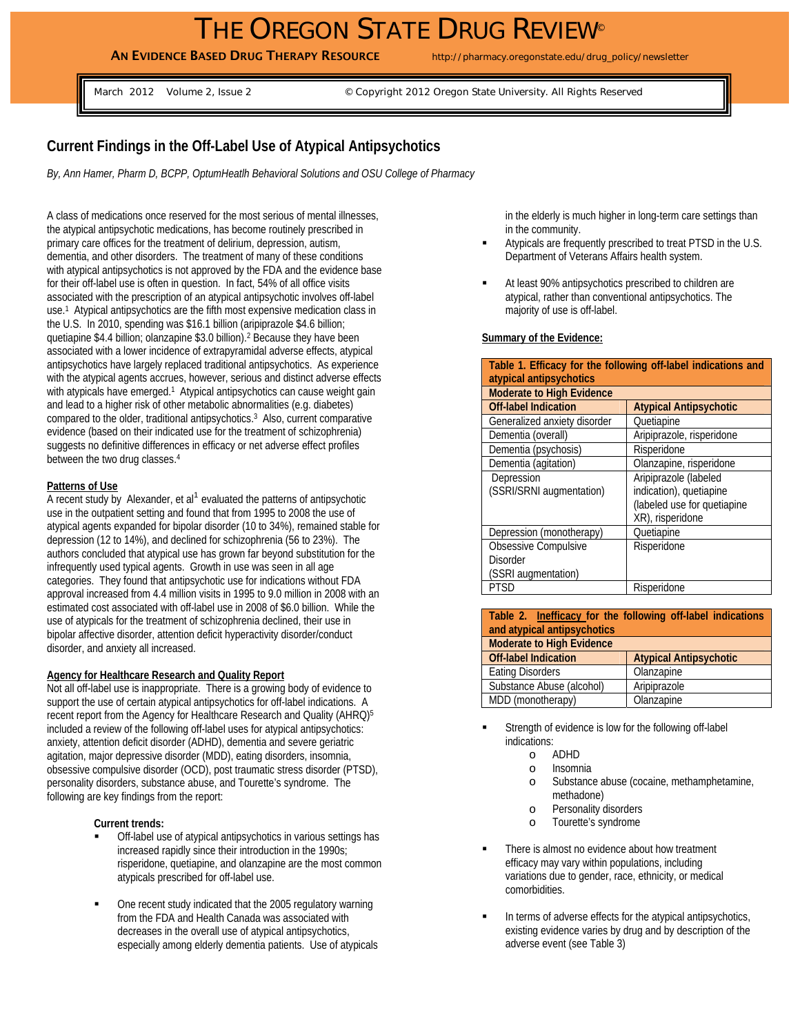# THE OREGON STATE DRUG REVIEW®

AN EVIDENCE BASED DRUG THERAPY RESOURCE http://pharmacy.oregonstate.edu/drug\_policy/newsletter

March 2012 Volume 2, Issue 2 © Copyright 2012 Oregon State University. All Rights Reserved

## **Current Findings in the Off-Label Use of Atypical Antipsychotics**

*By, Ann Hamer, Pharm D, BCPP, OptumHeatlh Behavioral Solutions and OSU College of Pharmacy* 

A class of medications once reserved for the most serious of mental illnesses, the atypical antipsychotic medications, has become routinely prescribed in primary care offices for the treatment of delirium, depression, autism, dementia, and other disorders. The treatment of many of these conditions with atypical antipsychotics is not approved by the FDA and the evidence base for their off-label use is often in question. In fact, 54% of all office visits associated with the prescription of an atypical antipsychotic involves off-label use.1 Atypical antipsychotics are the fifth most expensive medication class in the U.S. In 2010, spending was \$16.1 billion (aripiprazole \$4.6 billion; quetiapine \$4.4 billion; olanzapine \$3.0 billion).<sup>2</sup> Because they have been associated with a lower incidence of extrapyramidal adverse effects, atypical antipsychotics have largely replaced traditional antipsychotics. As experience with the atypical agents accrues, however, serious and distinct adverse effects with atypicals have emerged.<sup>1</sup> Atypical antipsychotics can cause weight gain and lead to a higher risk of other metabolic abnormalities (e.g. diabetes) compared to the older, traditional antipsychotics.3 Also, current comparative evidence (based on their indicated use for the treatment of schizophrenia) suggests no definitive differences in efficacy or net adverse effect profiles between the two drug classes.4

#### **Patterns of Use**

A recent study by Alexander, et al<sup>1</sup> evaluated the patterns of antipsychotic use in the outpatient setting and found that from 1995 to 2008 the use of atypical agents expanded for bipolar disorder (10 to 34%), remained stable for depression (12 to 14%), and declined for schizophrenia (56 to 23%). The authors concluded that atypical use has grown far beyond substitution for the infrequently used typical agents. Growth in use was seen in all age categories. They found that antipsychotic use for indications without FDA approval increased from 4.4 million visits in 1995 to 9.0 million in 2008 with an estimated cost associated with off-label use in 2008 of \$6.0 billion. While the use of atypicals for the treatment of schizophrenia declined, their use in bipolar affective disorder, attention deficit hyperactivity disorder/conduct disorder, and anxiety all increased.

#### **Agency for Healthcare Research and Quality Report**

Not all off-label use is inappropriate. There is a growing body of evidence to support the use of certain atypical antipsychotics for off-label indications. A recent report from the Agency for Healthcare Research and Quality (AHRQ)<sup>5</sup> included a review of the following off-label uses for atypical antipsychotics: anxiety, attention deficit disorder (ADHD), dementia and severe geriatric agitation, major depressive disorder (MDD), eating disorders, insomnia, obsessive compulsive disorder (OCD), post traumatic stress disorder (PTSD), personality disorders, substance abuse, and Tourette's syndrome. The following are key findings from the report:

#### **Current trends:**

- Off-label use of atypical antipsychotics in various settings has increased rapidly since their introduction in the 1990s; risperidone, quetiapine, and olanzapine are the most common atypicals prescribed for off-label use.
- One recent study indicated that the 2005 regulatory warning from the FDA and Health Canada was associated with decreases in the overall use of atypical antipsychotics, especially among elderly dementia patients. Use of atypicals

in the elderly is much higher in long-term care settings than in the community.

- Atypicals are frequently prescribed to treat PTSD in the U.S. Department of Veterans Affairs health system.
- At least 90% antipsychotics prescribed to children are atypical, rather than conventional antipsychotics. The majority of use is off-label.

#### **Summary of the Evidence:**

| Table 1. Efficacy for the following off-label indications and |                               |  |
|---------------------------------------------------------------|-------------------------------|--|
| atypical antipsychotics                                       |                               |  |
| <b>Moderate to High Evidence</b>                              |                               |  |
| <b>Off-label Indication</b>                                   | <b>Atypical Antipsychotic</b> |  |
| Generalized anxiety disorder                                  | Quetiapine                    |  |
| Dementia (overall)                                            | Aripiprazole, risperidone     |  |
| Dementia (psychosis)                                          | Risperidone                   |  |
| Dementia (agitation)                                          | Olanzapine, risperidone       |  |
| Depression                                                    | Aripiprazole (labeled         |  |
| (SSRI/SRNI augmentation)                                      | indication), quetiapine       |  |
|                                                               | (labeled use for quetiapine   |  |
|                                                               | XR), risperidone              |  |
| Depression (monotherapy)                                      | Quetiapine                    |  |
| Obsessive Compulsive                                          | Risperidone                   |  |
| <b>Disorder</b>                                               |                               |  |
| (SSRI augmentation)                                           |                               |  |
| <b>PTSD</b>                                                   | Risperidone                   |  |

**Table 2. Inefficacy for the following off-label indications and atypical antipsychotics Moderate to High Evidence Off-label Indication | Atypical Antipsychotic** Eating Disorders **Canadian Contract Contract Disorders** Dianzapine Substance Abuse (alcohol) Aripiprazole MDD (monotherapy) Olanzapine

- Strength of evidence is low for the following off-label indications:
	- o ADHD
	- o Insomnia
	- o Substance abuse (cocaine, methamphetamine, methadone)
	- o Personality disorders
	- o Tourette's syndrome
- **There is almost no evidence about how treatment** efficacy may vary within populations, including variations due to gender, race, ethnicity, or medical comorbidities.
- In terms of adverse effects for the atypical antipsychotics, existing evidence varies by drug and by description of the adverse event (see Table 3)